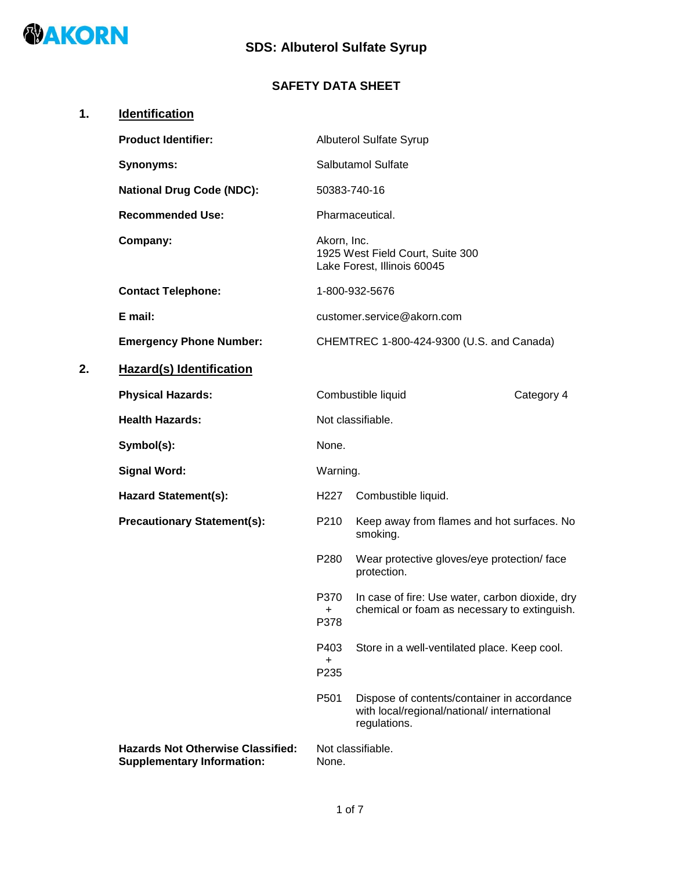

# **SDS: Albuterol Sulfate Syrup**

## **SAFETY DATA SHEET**

| 1. | <b>Identification</b>                                                         |                   |                                                                                                            |            |
|----|-------------------------------------------------------------------------------|-------------------|------------------------------------------------------------------------------------------------------------|------------|
|    | <b>Product Identifier:</b>                                                    |                   | <b>Albuterol Sulfate Syrup</b>                                                                             |            |
|    | <b>Synonyms:</b>                                                              |                   | Salbutamol Sulfate                                                                                         |            |
|    | <b>National Drug Code (NDC):</b>                                              | 50383-740-16      |                                                                                                            |            |
|    | <b>Recommended Use:</b>                                                       |                   | Pharmaceutical.                                                                                            |            |
|    | Company:                                                                      | Akorn, Inc.       | 1925 West Field Court, Suite 300<br>Lake Forest, Illinois 60045                                            |            |
|    | <b>Contact Telephone:</b>                                                     |                   | 1-800-932-5676                                                                                             |            |
|    | E mail:                                                                       |                   | customer.service@akorn.com                                                                                 |            |
|    | <b>Emergency Phone Number:</b>                                                |                   | CHEMTREC 1-800-424-9300 (U.S. and Canada)                                                                  |            |
| 2. | <b>Hazard(s) Identification</b>                                               |                   |                                                                                                            |            |
|    | <b>Physical Hazards:</b>                                                      |                   | Combustible liquid                                                                                         | Category 4 |
|    | <b>Health Hazards:</b>                                                        |                   | Not classifiable.                                                                                          |            |
|    | Symbol(s):                                                                    | None.             |                                                                                                            |            |
|    | <b>Signal Word:</b>                                                           | Warning.          |                                                                                                            |            |
|    | <b>Hazard Statement(s):</b>                                                   | H227              | Combustible liquid.                                                                                        |            |
|    | <b>Precautionary Statement(s):</b>                                            | P210              | Keep away from flames and hot surfaces. No<br>smoking.                                                     |            |
|    |                                                                               | P280              | Wear protective gloves/eye protection/ face<br>protection.                                                 |            |
|    |                                                                               | P370<br>+<br>P378 | In case of fire: Use water, carbon dioxide, dry<br>chemical or foam as necessary to extinguish.            |            |
|    |                                                                               | P403<br>+<br>P235 | Store in a well-ventilated place. Keep cool.                                                               |            |
|    |                                                                               | P501              | Dispose of contents/container in accordance<br>with local/regional/national/ international<br>regulations. |            |
|    | <b>Hazards Not Otherwise Classified:</b><br><b>Supplementary Information:</b> | None.             | Not classifiable.                                                                                          |            |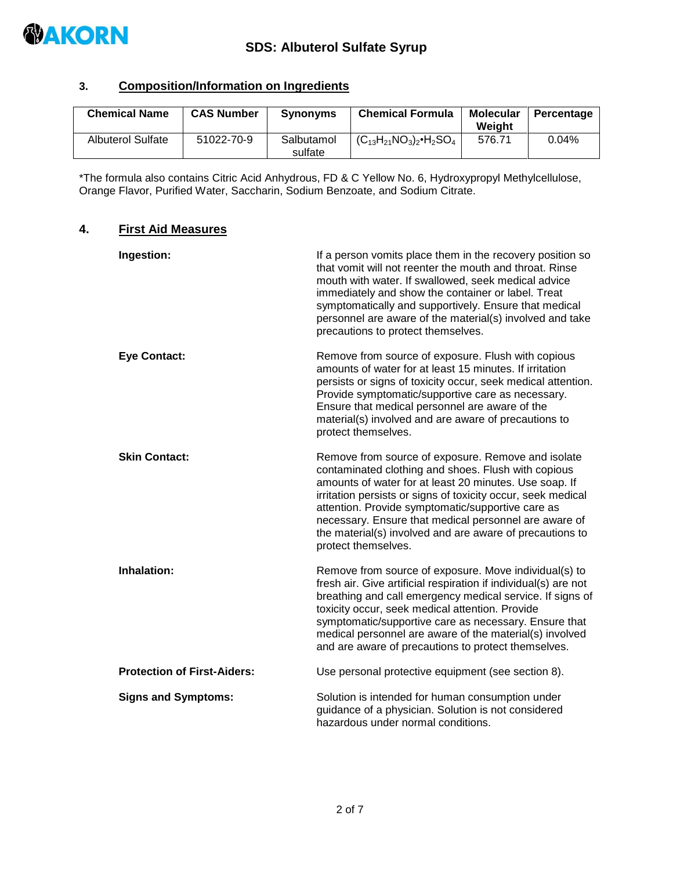

#### **3. Composition/Information on Ingredients**

| <b>Chemical Name</b>     | <b>CAS Number</b> | <b>Synonyms</b>       | <b>Chemical Formula</b>              | <b>Molecular</b><br>Weight | Percentage |
|--------------------------|-------------------|-----------------------|--------------------------------------|----------------------------|------------|
| <b>Albuterol Sulfate</b> | 51022-70-9        | Salbutamol<br>sulfate | $(C_{13}H_{21}NO_3)_2 \cdot H_2SO_4$ | 576.71                     | 0.04%      |

\*The formula also contains Citric Acid Anhydrous, FD & C Yellow No. 6, Hydroxypropyl Methylcellulose, Orange Flavor, Purified Water, Saccharin, Sodium Benzoate, and Sodium Citrate.

#### **4. First Aid Measures**

| Ingestion:                         | If a person vomits place them in the recovery position so<br>that vomit will not reenter the mouth and throat. Rinse<br>mouth with water. If swallowed, seek medical advice<br>immediately and show the container or label. Treat<br>symptomatically and supportively. Ensure that medical<br>personnel are aware of the material(s) involved and take<br>precautions to protect themselves.                                         |
|------------------------------------|--------------------------------------------------------------------------------------------------------------------------------------------------------------------------------------------------------------------------------------------------------------------------------------------------------------------------------------------------------------------------------------------------------------------------------------|
| <b>Eye Contact:</b>                | Remove from source of exposure. Flush with copious<br>amounts of water for at least 15 minutes. If irritation<br>persists or signs of toxicity occur, seek medical attention.<br>Provide symptomatic/supportive care as necessary.<br>Ensure that medical personnel are aware of the<br>material(s) involved and are aware of precautions to<br>protect themselves.                                                                  |
| <b>Skin Contact:</b>               | Remove from source of exposure. Remove and isolate<br>contaminated clothing and shoes. Flush with copious<br>amounts of water for at least 20 minutes. Use soap. If<br>irritation persists or signs of toxicity occur, seek medical<br>attention. Provide symptomatic/supportive care as<br>necessary. Ensure that medical personnel are aware of<br>the material(s) involved and are aware of precautions to<br>protect themselves. |
| Inhalation:                        | Remove from source of exposure. Move individual(s) to<br>fresh air. Give artificial respiration if individual(s) are not<br>breathing and call emergency medical service. If signs of<br>toxicity occur, seek medical attention. Provide<br>symptomatic/supportive care as necessary. Ensure that<br>medical personnel are aware of the material(s) involved<br>and are aware of precautions to protect themselves.                  |
| <b>Protection of First-Aiders:</b> | Use personal protective equipment (see section 8).                                                                                                                                                                                                                                                                                                                                                                                   |
| <b>Signs and Symptoms:</b>         | Solution is intended for human consumption under<br>guidance of a physician. Solution is not considered<br>hazardous under normal conditions.                                                                                                                                                                                                                                                                                        |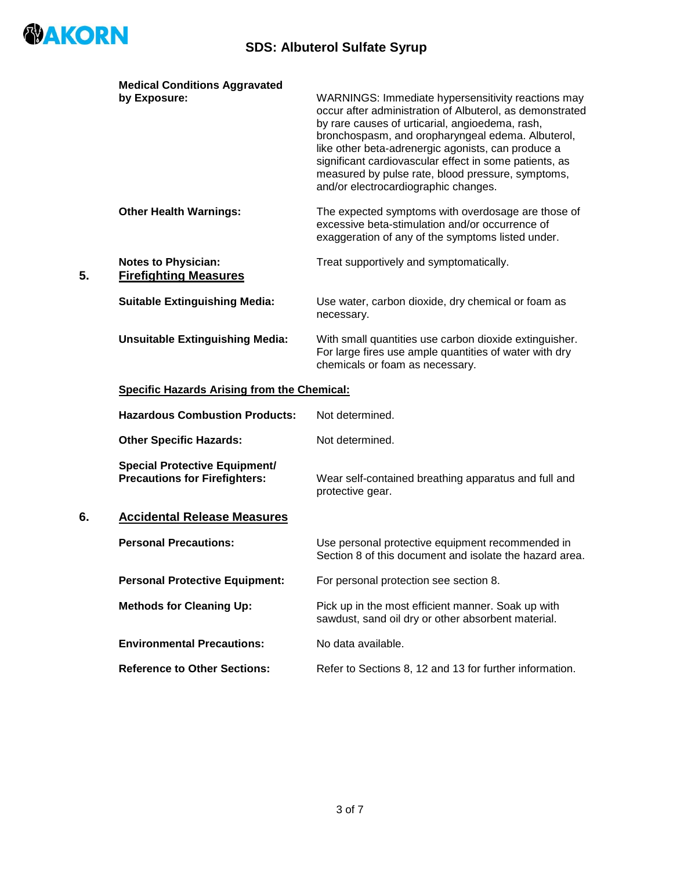

|    | <b>Medical Conditions Aggravated</b>                                         |                                                                                                                                                                                                                                                                                                                                                                                                                                     |
|----|------------------------------------------------------------------------------|-------------------------------------------------------------------------------------------------------------------------------------------------------------------------------------------------------------------------------------------------------------------------------------------------------------------------------------------------------------------------------------------------------------------------------------|
|    | by Exposure:                                                                 | WARNINGS: Immediate hypersensitivity reactions may<br>occur after administration of Albuterol, as demonstrated<br>by rare causes of urticarial, angioedema, rash,<br>bronchospasm, and oropharyngeal edema. Albuterol,<br>like other beta-adrenergic agonists, can produce a<br>significant cardiovascular effect in some patients, as<br>measured by pulse rate, blood pressure, symptoms,<br>and/or electrocardiographic changes. |
|    | <b>Other Health Warnings:</b>                                                | The expected symptoms with overdosage are those of<br>excessive beta-stimulation and/or occurrence of<br>exaggeration of any of the symptoms listed under.                                                                                                                                                                                                                                                                          |
| 5. | <b>Notes to Physician:</b><br><b>Firefighting Measures</b>                   | Treat supportively and symptomatically.                                                                                                                                                                                                                                                                                                                                                                                             |
|    | <b>Suitable Extinguishing Media:</b>                                         | Use water, carbon dioxide, dry chemical or foam as<br>necessary.                                                                                                                                                                                                                                                                                                                                                                    |
|    | <b>Unsuitable Extinguishing Media:</b>                                       | With small quantities use carbon dioxide extinguisher.<br>For large fires use ample quantities of water with dry<br>chemicals or foam as necessary.                                                                                                                                                                                                                                                                                 |
|    | <b>Specific Hazards Arising from the Chemical:</b>                           |                                                                                                                                                                                                                                                                                                                                                                                                                                     |
|    | <b>Hazardous Combustion Products:</b>                                        | Not determined.                                                                                                                                                                                                                                                                                                                                                                                                                     |
|    | <b>Other Specific Hazards:</b>                                               | Not determined.                                                                                                                                                                                                                                                                                                                                                                                                                     |
|    | <b>Special Protective Equipment/</b><br><b>Precautions for Firefighters:</b> | Wear self-contained breathing apparatus and full and<br>protective gear.                                                                                                                                                                                                                                                                                                                                                            |
| 6. | <b>Accidental Release Measures</b>                                           |                                                                                                                                                                                                                                                                                                                                                                                                                                     |
|    | <b>Personal Precautions:</b>                                                 | Use personal protective equipment recommended in<br>Section 8 of this document and isolate the hazard area.                                                                                                                                                                                                                                                                                                                         |
|    | <b>Personal Protective Equipment:</b>                                        | For personal protection see section 8.                                                                                                                                                                                                                                                                                                                                                                                              |
|    | <b>Methods for Cleaning Up:</b>                                              | Pick up in the most efficient manner. Soak up with<br>sawdust, sand oil dry or other absorbent material.                                                                                                                                                                                                                                                                                                                            |
|    | <b>Environmental Precautions:</b>                                            | No data available.                                                                                                                                                                                                                                                                                                                                                                                                                  |
|    | <b>Reference to Other Sections:</b>                                          | Refer to Sections 8, 12 and 13 for further information.                                                                                                                                                                                                                                                                                                                                                                             |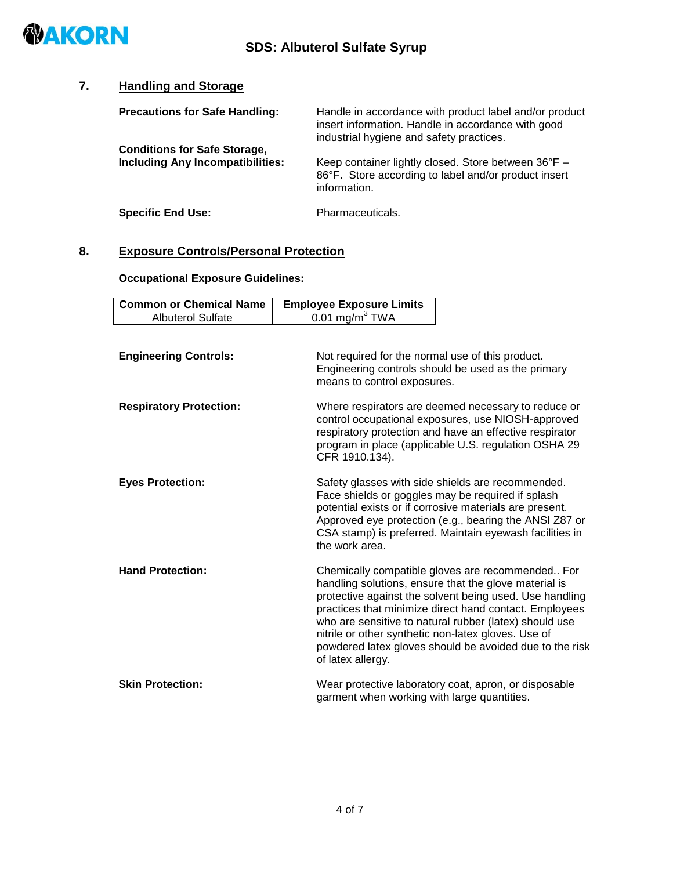

 $\mathsf{l}$ 

#### **7. Handling and Storage**

| <b>Precautions for Safe Handling:</b>                                          | Handle in accordance with product label and/or product<br>insert information. Handle in accordance with good<br>industrial hygiene and safety practices. |
|--------------------------------------------------------------------------------|----------------------------------------------------------------------------------------------------------------------------------------------------------|
| <b>Conditions for Safe Storage,</b><br><b>Including Any Incompatibilities:</b> | Keep container lightly closed. Store between 36°F -<br>86°F. Store according to label and/or product insert<br>information.                              |
| <b>Specific End Use:</b>                                                       | Pharmaceuticals.                                                                                                                                         |

#### **8. Exposure Controls/Personal Protection**

**Occupational Exposure Guidelines:**

| <b>Common or Chemical Name</b> | <b>Employee Exposure Limits</b>                                                                                                                                                                                                                                                                                                                                                                                                 |  |
|--------------------------------|---------------------------------------------------------------------------------------------------------------------------------------------------------------------------------------------------------------------------------------------------------------------------------------------------------------------------------------------------------------------------------------------------------------------------------|--|
| <b>Albuterol Sulfate</b>       | $0.01$ mg/m <sup>3</sup> TWA                                                                                                                                                                                                                                                                                                                                                                                                    |  |
| <b>Engineering Controls:</b>   | Not required for the normal use of this product.<br>Engineering controls should be used as the primary<br>means to control exposures.                                                                                                                                                                                                                                                                                           |  |
| <b>Respiratory Protection:</b> | Where respirators are deemed necessary to reduce or<br>control occupational exposures, use NIOSH-approved<br>respiratory protection and have an effective respirator<br>program in place (applicable U.S. regulation OSHA 29<br>CFR 1910.134).                                                                                                                                                                                  |  |
| <b>Eyes Protection:</b>        | Safety glasses with side shields are recommended.<br>Face shields or goggles may be required if splash<br>potential exists or if corrosive materials are present.<br>Approved eye protection (e.g., bearing the ANSI Z87 or<br>CSA stamp) is preferred. Maintain eyewash facilities in<br>the work area.                                                                                                                        |  |
| <b>Hand Protection:</b>        | Chemically compatible gloves are recommended For<br>handling solutions, ensure that the glove material is<br>protective against the solvent being used. Use handling<br>practices that minimize direct hand contact. Employees<br>who are sensitive to natural rubber (latex) should use<br>nitrile or other synthetic non-latex gloves. Use of<br>powdered latex gloves should be avoided due to the risk<br>of latex allergy. |  |
| <b>Skin Protection:</b>        | Wear protective laboratory coat, apron, or disposable<br>garment when working with large quantities.                                                                                                                                                                                                                                                                                                                            |  |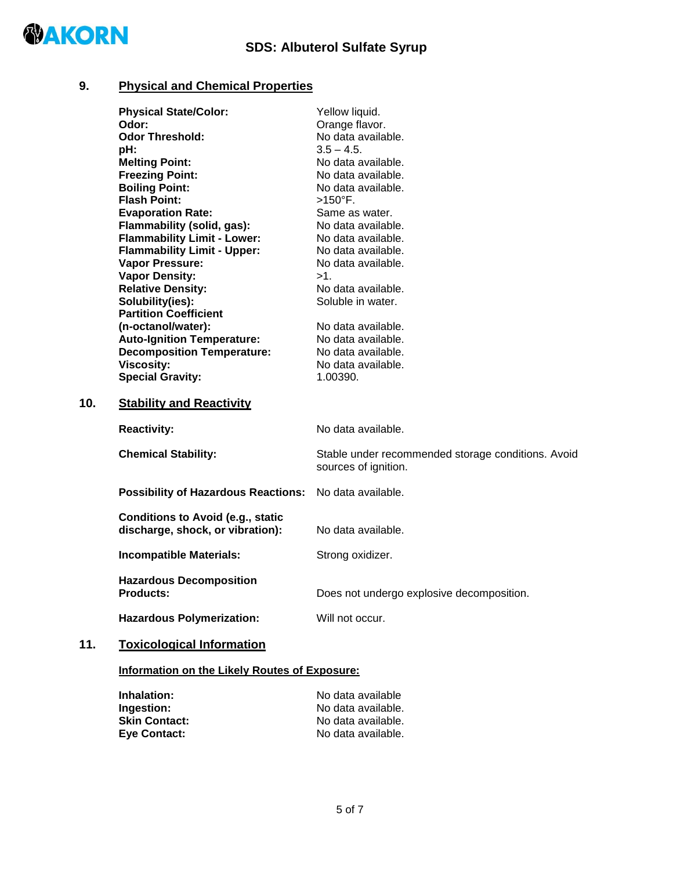

#### **9. Physical and Chemical Properties**

|     | <b>Physical State/Color:</b>                                                 | Yellow liquid.                                                             |
|-----|------------------------------------------------------------------------------|----------------------------------------------------------------------------|
|     | Odor:                                                                        | Orange flavor.                                                             |
|     | <b>Odor Threshold:</b>                                                       | No data available.                                                         |
|     | pH:                                                                          | $3.5 - 4.5$ .                                                              |
|     | <b>Melting Point:</b>                                                        | No data available.                                                         |
|     | <b>Freezing Point:</b>                                                       | No data available.                                                         |
|     | <b>Boiling Point:</b>                                                        | No data available.                                                         |
|     | <b>Flash Point:</b>                                                          | $>150^{\circ}$ F.                                                          |
|     | <b>Evaporation Rate:</b>                                                     | Same as water.                                                             |
|     | Flammability (solid, gas):                                                   | No data available.                                                         |
|     | <b>Flammability Limit - Lower:</b>                                           | No data available.                                                         |
|     | <b>Flammability Limit - Upper:</b>                                           | No data available.                                                         |
|     | <b>Vapor Pressure:</b>                                                       | No data available.                                                         |
|     | <b>Vapor Density:</b>                                                        | $>1$ .                                                                     |
|     | <b>Relative Density:</b>                                                     | No data available.                                                         |
|     | Solubility(ies):                                                             | Soluble in water.                                                          |
|     | <b>Partition Coefficient</b>                                                 |                                                                            |
|     | (n-octanol/water):                                                           | No data available.                                                         |
|     | <b>Auto-Ignition Temperature:</b>                                            | No data available.                                                         |
|     | <b>Decomposition Temperature:</b>                                            | No data available.                                                         |
|     | <b>Viscosity:</b>                                                            | No data available.                                                         |
|     | <b>Special Gravity:</b>                                                      | 1.00390.                                                                   |
| 10. | <b>Stability and Reactivity</b>                                              |                                                                            |
|     | <b>Reactivity:</b>                                                           | No data available.                                                         |
|     | <b>Chemical Stability:</b>                                                   | Stable under recommended storage conditions. Avoid<br>sources of ignition. |
|     | <b>Possibility of Hazardous Reactions:</b>                                   | No data available.                                                         |
|     | <b>Conditions to Avoid (e.g., static</b><br>discharge, shock, or vibration): | No data available.                                                         |
|     | <b>Incompatible Materials:</b>                                               | Strong oxidizer.                                                           |
|     | <b>Hazardous Decomposition</b><br><b>Products:</b>                           | Does not undergo explosive decomposition.                                  |
|     | <b>Hazardous Polymerization:</b>                                             | Will not occur.                                                            |
| 11. | <b>Toxicological Information</b>                                             |                                                                            |

#### **Information on the Likely Routes of Exposure:**

| Inhalation:          | No data available  |
|----------------------|--------------------|
| Ingestion:           | No data available. |
| <b>Skin Contact:</b> | No data available. |
| <b>Eve Contact:</b>  | No data available. |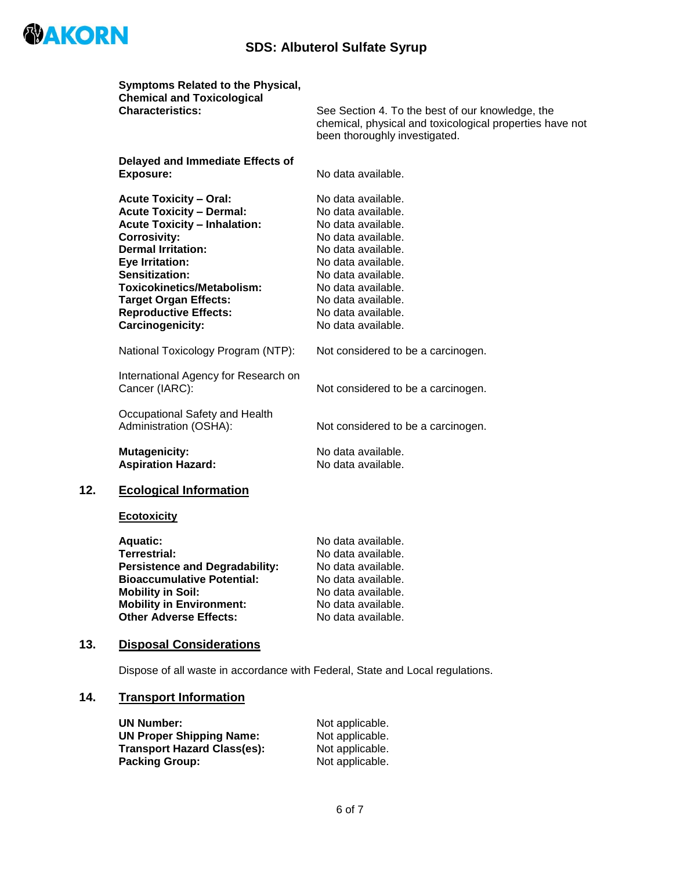

## **SDS: Albuterol Sulfate Syrup**

|     | Symptoms Related to the Physical,<br><b>Chemical and Toxicological</b> |                                                                                                                                               |
|-----|------------------------------------------------------------------------|-----------------------------------------------------------------------------------------------------------------------------------------------|
|     | <b>Characteristics:</b>                                                | See Section 4. To the best of our knowledge, the<br>chemical, physical and toxicological properties have not<br>been thoroughly investigated. |
|     | Delayed and Immediate Effects of                                       |                                                                                                                                               |
|     | <b>Exposure:</b>                                                       | No data available.                                                                                                                            |
|     | <b>Acute Toxicity - Oral:</b>                                          | No data available.                                                                                                                            |
|     | <b>Acute Toxicity - Dermal:</b>                                        | No data available.                                                                                                                            |
|     | <b>Acute Toxicity - Inhalation:</b>                                    | No data available.                                                                                                                            |
|     | <b>Corrosivity:</b>                                                    | No data available.                                                                                                                            |
|     | <b>Dermal Irritation:</b>                                              | No data available.                                                                                                                            |
|     | <b>Eye Irritation:</b>                                                 | No data available.                                                                                                                            |
|     | <b>Sensitization:</b><br><b>Toxicokinetics/Metabolism:</b>             | No data available.<br>No data available.                                                                                                      |
|     | <b>Target Organ Effects:</b>                                           | No data available.                                                                                                                            |
|     | <b>Reproductive Effects:</b>                                           | No data available.                                                                                                                            |
|     | <b>Carcinogenicity:</b>                                                | No data available.                                                                                                                            |
|     | National Toxicology Program (NTP):                                     | Not considered to be a carcinogen.                                                                                                            |
|     | International Agency for Research on<br>Cancer (IARC):                 | Not considered to be a carcinogen.                                                                                                            |
|     | Occupational Safety and Health<br>Administration (OSHA):               | Not considered to be a carcinogen.                                                                                                            |
|     | <b>Mutagenicity:</b><br><b>Aspiration Hazard:</b>                      | No data available.<br>No data available.                                                                                                      |
| 12. | <b>Ecological Information</b>                                          |                                                                                                                                               |
|     | <b>Ecotoxicity</b>                                                     |                                                                                                                                               |
|     | <b>Aquatic:</b>                                                        | No data available.                                                                                                                            |
|     | Terrestrial:                                                           | No data available.                                                                                                                            |
|     | <b>Persistence and Degradability:</b>                                  | No data available.                                                                                                                            |
|     | <b>Bioaccumulative Potential:</b>                                      | No data available.                                                                                                                            |
|     | <b>Mobility in Soil:</b>                                               | No data available.                                                                                                                            |
|     | <b>Mobility in Environment:</b>                                        | No data available.                                                                                                                            |
|     | <b>Other Adverse Effects:</b>                                          | No data available.                                                                                                                            |

#### **13. Disposal Considerations**

Dispose of all waste in accordance with Federal, State and Local regulations.

#### **14. Transport Information**

| <b>UN Number:</b>                  | Not applicable. |
|------------------------------------|-----------------|
| <b>UN Proper Shipping Name:</b>    | Not applicable. |
| <b>Transport Hazard Class(es):</b> | Not applicable. |
| <b>Packing Group:</b>              | Not applicable. |